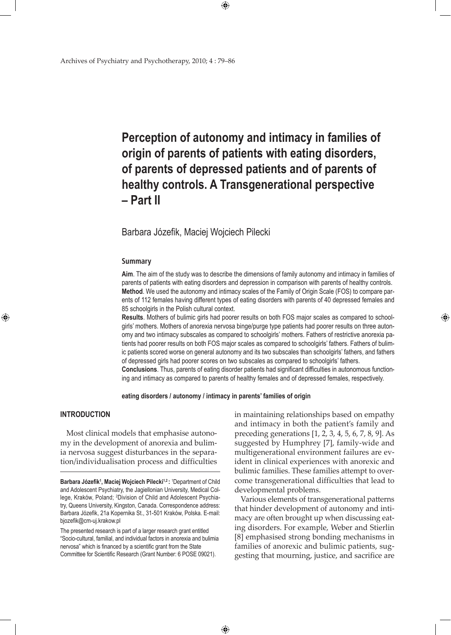# **Perception of autonomy and intimacy in families of origin of parents of patients with eating disorders, of parents of depressed patients and of parents of healthy controls. A Transgenerational perspective – Part II**

## Barbara Józefik, Maciej Wojciech Pilecki

#### **Summary**

**Aim**. The aim of the study was to describe the dimensions of family autonomy and intimacy in families of parents of patients with eating disorders and depression in comparison with parents of healthy controls. **Method**. We used the autonomy and intimacy scales of the Family of Origin Scale (FOS) to compare parents of 112 females having different types of eating disorders with parents of 40 depressed females and 85 schoolgirls in the Polish cultural context.

**Results**. Mothers of bulimic girls had poorer results on both FOS major scales as compared to schoolgirls' mothers. Mothers of anorexia nervosa binge/purge type patients had poorer results on three autonomy and two intimacy subscales as compared to schoolgirls' mothers. Fathers of restrictive anorexia patients had poorer results on both FOS major scales as compared to schoolgirls' fathers. Fathers of bulimic patients scored worse on general autonomy and its two subscales than schoolgirls' fathers, and fathers of depressed girls had poorer scores on two subscales as compared to schoolgirls' fathers. **Conclusions**. Thus, parents of eating disorder patients had significant difficulties in autonomous function-

ing and intimacy as compared to parents of healthy females and of depressed females, respectively.

**eating disorders / autonomy / intimacy in parents' families of origin**

 $\bigoplus$ 

## **INTRODUCTION**

⊕

Most clinical models that emphasise autonomy in the development of anorexia and bulimia nervosa suggest disturbances in the separation/individualisation process and difficulties in maintaining relationships based on empathy and intimacy in both the patient's family and preceding generations [1, 2, 3, 4, 5, 6, 7, 8, 9]. As suggested by Humphrey [7], family-wide and multigenerational environment failures are evident in clinical experiences with anorexic and bulimic families. These families attempt to overcome transgenerational difficulties that lead to developmental problems.

⊕

Various elements of transgenerational patterns that hinder development of autonomy and intimacy are often brought up when discussing eating disorders. For example, Weber and Stierlin [8] emphasised strong bonding mechanisms in families of anorexic and bulimic patients, suggesting that mourning, justice, and sacrifice are

Barbara Józefik<sup>1</sup>, Maciej Wojciech Pilecki<sup>1,2</sup>: <sup>1</sup>Department of Child and Adolescent Psychiatry, the Jagiellonian University, Medical College, Kraków, Poland; <sup>2</sup>Division of Child and Adolescent Psychiatry, Queens University, Kingston, Canada. Correspondence address: Barbara Józefik, 21a Kopernika St., 31-501 Kraków, Polska. E-mail: bjozefik@cm-uj.krakow.pl

The presented research is part of a larger research grant entitled "Socio-cultural, familial, and individual factors in anorexia and bulimia nervosa" which is financed by a scientific grant from the State Committee for Scientific Research (Grant Number: 6 POSE 09021).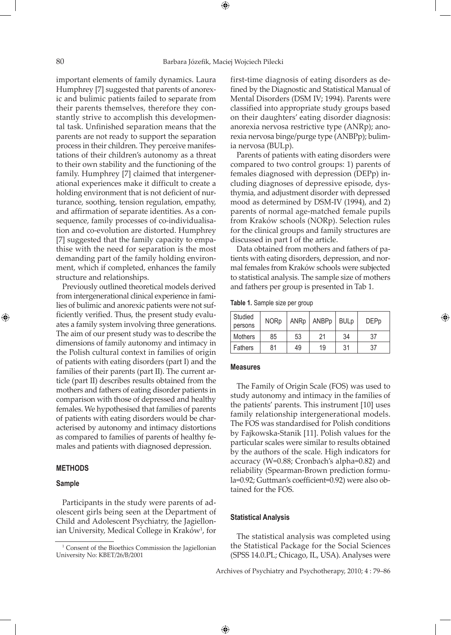important elements of family dynamics. Laura Humphrey [7] suggested that parents of anorexic and bulimic patients failed to separate from their parents themselves, therefore they constantly strive to accomplish this developmental task. Unfinished separation means that the parents are not ready to support the separation process in their children. They perceive manifestations of their children's autonomy as a threat to their own stability and the functioning of the family. Humphrey [7] claimed that intergenerational experiences make it difficult to create a holding environment that is not deficient of nurturance, soothing, tension regulation, empathy, and affirmation of separate identities. As a consequence, family processes of co-individualisation and co-evolution are distorted. Humphrey [7] suggested that the family capacity to empathise with the need for separation is the most demanding part of the family holding environment, which if completed, enhances the family structure and relationships.

Previously outlined theoretical models derived from intergenerational clinical experience in families of bulimic and anorexic patients were not sufficiently verified. Thus, the present study evaluates a family system involving three generations. The aim of our present study was to describe the dimensions of family autonomy and intimacy in the Polish cultural context in families of origin of patients with eating disorders (part I) and the families of their parents (part II). The current article (part II) describes results obtained from the mothers and fathers of eating disorder patients in comparison with those of depressed and healthy females. We hypothesised that families of parents of patients with eating disorders would be characterised by autonomy and intimacy distortions as compared to families of parents of healthy females and patients with diagnosed depression.

## **METHODS**

#### **Sample**

⊕

Participants in the study were parents of adolescent girls being seen at the Department of Child and Adolescent Psychiatry, the Jagiellonian University, Medical College in Kraków<sup>1</sup>, for first-time diagnosis of eating disorders as defined by the Diagnostic and Statistical Manual of Mental Disorders (DSM IV; 1994). Parents were classified into appropriate study groups based on their daughters' eating disorder diagnosis: anorexia nervosa restrictive type (ANRp); anorexia nervosa binge/purge type (ANBPp); bulimia nervosa (BULp).

Parents of patients with eating disorders were compared to two control groups: 1) parents of females diagnosed with depression (DEPp) including diagnoses of depressive episode, dysthymia, and adjustment disorder with depressed mood as determined by DSM-IV (1994), and 2) parents of normal age-matched female pupils from Kraków schools (NORp). Selection rules for the clinical groups and family structures are discussed in part I of the article.

Data obtained from mothers and fathers of patients with eating disorders, depression, and normal females from Kraków schools were subjected to statistical analysis. The sample size of mothers and fathers per group is presented in Tab 1.

**Table 1.** Sample size per group

| Studied<br>persons | <b>NORp</b> | ANRp | ANBPp | $ $ BULp | <b>DEPp</b> |  |
|--------------------|-------------|------|-------|----------|-------------|--|
| Mothers            | 85          | 53   | 21    | 34       | 37          |  |
| <b>Fathers</b>     | 81          | 49   | 19    | 31       | 37          |  |

⊕

#### **Measures**

The Family of Origin Scale (FOS) was used to study autonomy and intimacy in the families of the patients' parents. This instrument [10] uses family relationship intergenerational models. The FOS was standardised for Polish conditions by Fajkowska-Stanik [11]. Polish values for the particular scales were similar to results obtained by the authors of the scale. High indicators for accuracy (W=0.88; Cronbach's alpha=0.82) and reliability (Spearman-Brown prediction formula=0.92; Guttman's coefficient=0.92) were also obtained for the FOS.

#### **Statistical Analysis**

 $\bigoplus$ 

The statistical analysis was completed using the Statistical Package for the Social Sciences (SPSS 14.0.PL; Chicago, IL, USA). Analyses were

Archives of Psychiatry and Psychotherapy, 2010; 4 : 79–86

<sup>&</sup>lt;sup>1</sup> Consent of the Bioethics Commission the Jagiellonian University No: KBET/26/B/2001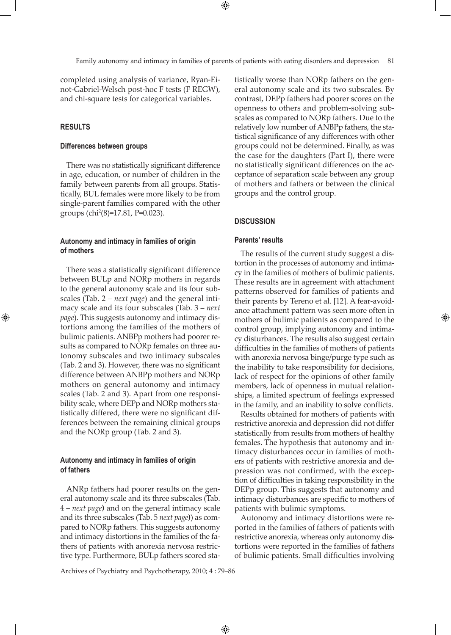completed using analysis of variance, Ryan-Einot-Gabriel-Welsch post-hoc F tests (F REGW), and chi-square tests for categorical variables.

## **RESULTS**

⊕

## **Differences between groups**

There was no statistically significant difference in age, education, or number of children in the family between parents from all groups. Statistically, BUL females were more likely to be from single-parent families compared with the other groups (chi2 (8)=17.81, Ρ=0.023).

## **Autonomy and intimacy in families of origin of mothers**

There was a statistically significant difference between BULp and NORp mothers in regards to the general autonomy scale and its four subscales (Tab. 2 – *next page*) and the general intimacy scale and its four subscales (Tab. 3 – *next page*). This suggests autonomy and intimacy distortions among the families of the mothers of bulimic patients. ANBPp mothers had poorer results as compared to NORp females on three autonomy subscales and two intimacy subscales (Tab. 2 and 3). However, there was no significant difference between ANBPp mothers and NORp mothers on general autonomy and intimacy scales (Tab. 2 and 3). Apart from one responsibility scale, where DEPp and NORp mothers statistically differed, there were no significant differences between the remaining clinical groups and the NORp group (Tab. 2 and 3).

## **Autonomy and intimacy in families of origin of fathers**

ANRp fathers had poorer results on the general autonomy scale and its three subscales (Tab. 4 – *next page***)** and on the general intimacy scale and its three subscales (Tab. 5 *next page***)**) as compared to NORp fathers. This suggests autonomy and intimacy distortions in the families of the fathers of patients with anorexia nervosa restrictive type. Furthermore, BULp fathers scored statistically worse than NORp fathers on the general autonomy scale and its two subscales. By contrast, DEPp fathers had poorer scores on the openness to others and problem-solving subscales as compared to NORp fathers. Due to the relatively low number of ANBPp fathers, the statistical significance of any differences with other groups could not be determined. Finally, as was the case for the daughters (Part I), there were no statistically significant differences on the acceptance of separation scale between any group of mothers and fathers or between the clinical groups and the control group.

#### **DISCUSSION**

#### **Parents' results**

The results of the current study suggest a distortion in the processes of autonomy and intimacy in the families of mothers of bulimic patients. These results are in agreement with attachment patterns observed for families of patients and their parents by Tereno et al. [12]. A fear-avoidance attachment pattern was seen more often in mothers of bulimic patients as compared to the control group, implying autonomy and intimacy disturbances. The results also suggest certain difficulties in the families of mothers of patients with anorexia nervosa binge/purge type such as the inability to take responsibility for decisions, lack of respect for the opinions of other family members, lack of openness in mutual relationships, a limited spectrum of feelings expressed in the family, and an inability to solve conflicts.

⊕

Results obtained for mothers of patients with restrictive anorexia and depression did not differ statistically from results from mothers of healthy females. The hypothesis that autonomy and intimacy disturbances occur in families of mothers of patients with restrictive anorexia and depression was not confirmed, with the exception of difficulties in taking responsibility in the DEPp group. This suggests that autonomy and intimacy disturbances are specific to mothers of patients with bulimic symptoms.

Autonomy and intimacy distortions were reported in the families of fathers of patients with restrictive anorexia, whereas only autonomy distortions were reported in the families of fathers of bulimic patients. Small difficulties involving

Archives of Psychiatry and Psychotherapy, 2010; 4 : 79–86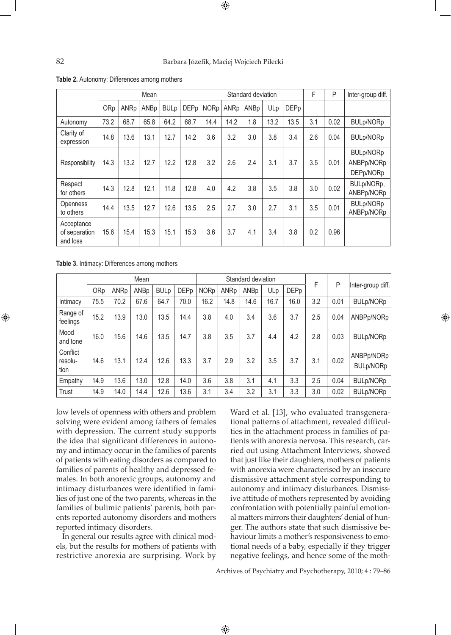#### 82 Barbara Józefik, Maciej Wojciech Pilecki

|                                         |      |      | Mean |             |             |      |      | Standard deviation |      | F           | P   | Inter-group diff. |                                             |
|-----------------------------------------|------|------|------|-------------|-------------|------|------|--------------------|------|-------------|-----|-------------------|---------------------------------------------|
|                                         | ORp  | ANRp | ANBp | <b>BULp</b> | <b>DEPp</b> | NORp | ANRp | ANBp               | ULp  | <b>DEPp</b> |     |                   |                                             |
| Autonomy                                | 73.2 | 68.7 | 65.8 | 64.2        | 68.7        | 14.4 | 14.2 | 1.8                | 13.2 | 13.5        | 3.1 | 0.02              | <b>BULp/NORp</b>                            |
| Clarity of<br>expression                | 14.8 | 13.6 | 13.1 | 12.7        | 14.2        | 3.6  | 3.2  | 3.0                | 3.8  | 3.4         | 2.6 | 0.04              | <b>BULp/NORp</b>                            |
| Responsibility                          | 14.3 | 13.2 | 12.7 | 12.2        | 12.8        | 3.2  | 2.6  | 2.4                | 3.1  | 3.7         | 3.5 | 0.01              | <b>BULp/NORp</b><br>ANBPp/NORp<br>DEPp/NORp |
| Respect<br>for others                   | 14.3 | 12.8 | 12.1 | 11.8        | 12.8        | 4.0  | 4.2  | 3.8                | 3.5  | 3.8         | 3.0 | 0.02              | BULp/NORp,<br>ANBPp/NORp                    |
| <b>Openness</b><br>to others            | 14.4 | 13.5 | 12.7 | 12.6        | 13.5        | 2.5  | 2.7  | 3.0                | 2.7  | 3.1         | 3.5 | 0.01              | <b>BULp/NORp</b><br>ANBPp/NORp              |
| Acceptance<br>of separation<br>and loss | 15.6 | 15.4 | 15.3 | 15.1        | 15.3        | 3.6  | 3.7  | 4.1                | 3.4  | 3.8         | 0.2 | 0.96              |                                             |

**Table 2.** Autonomy: Differences among mothers

**Table 3.** Intimacy: Differences among mothers

|                             |      |      | Mean |             |             |             |      | Standard deviation |      | F           | P   |      |                                |
|-----------------------------|------|------|------|-------------|-------------|-------------|------|--------------------|------|-------------|-----|------|--------------------------------|
|                             | ORp  | ANRp | ANBp | <b>BULp</b> | <b>DEPp</b> | <b>NORp</b> | ANRp | ANBp               | ULp  | <b>DEPp</b> |     |      | Inter-group diff.              |
| Intimacy                    | 75.5 | 70.2 | 67.6 | 64.7        | 70.0        | 16.2        | 14.8 | 14.6               | 16.7 | 16.0        | 3.2 | 0.01 | <b>BULp/NORp</b>               |
| Range of<br>feelings        | 15.2 | 13.9 | 13.0 | 13.5        | 14.4        | 3.8         | 4.0  | 3.4                | 3.6  | 3.7         | 2.5 | 0.04 | ANBPp/NORp                     |
| Mood<br>and tone            | 16.0 | 15.6 | 14.6 | 13.5        | 14.7        | 3.8         | 3.5  | 3.7                | 4.4  | 4.2         | 2.8 | 0.03 | <b>BULp/NORp</b>               |
| Conflict<br>resolu-<br>tion | 14.6 | 13.1 | 12.4 | 12.6        | 13.3        | 3.7         | 2.9  | 3.2                | 3.5  | 3.7         | 3.1 | 0.02 | ANBPp/NORp<br><b>BULp/NORp</b> |
| Empathy                     | 14.9 | 13.6 | 13.0 | 12.8        | 14.0        | 3.6         | 3.8  | 3.1                | 4.1  | 3.3         | 2.5 | 0.04 | <b>BULp/NORp</b>               |
| Trust                       | 14.9 | 14.0 | 14.4 | 12.6        | 13.6        | 3.1         | 3.4  | 3.2                | 3.1  | 3.3         | 3.0 | 0.02 | <b>BULp/NORp</b>               |

low levels of openness with others and problem solving were evident among fathers of females with depression. The current study supports the idea that significant differences in autonomy and intimacy occur in the families of parents of patients with eating disorders as compared to families of parents of healthy and depressed females. In both anorexic groups, autonomy and intimacy disturbances were identified in families of just one of the two parents, whereas in the families of bulimic patients' parents, both parents reported autonomy disorders and mothers reported intimacy disorders.

In general our results agree with clinical models, but the results for mothers of patients with restrictive anorexia are surprising. Work by

Ward et al. [13], who evaluated transgenerational patterns of attachment, revealed difficulties in the attachment process in families of patients with anorexia nervosa. This research, carried out using Attachment Interviews, showed that just like their daughters, mothers of patients with anorexia were characterised by an insecure dismissive attachment style corresponding to autonomy and intimacy disturbances. Dismissive attitude of mothers represented by avoiding confrontation with potentially painful emotional matters mirrors their daughters' denial of hunger. The authors state that such dismissive behaviour limits a mother's responsiveness to emotional needs of a baby, especially if they trigger negative feelings, and hence some of the moth⊕

Archives of Psychiatry and Psychotherapy, 2010; 4 : 79–86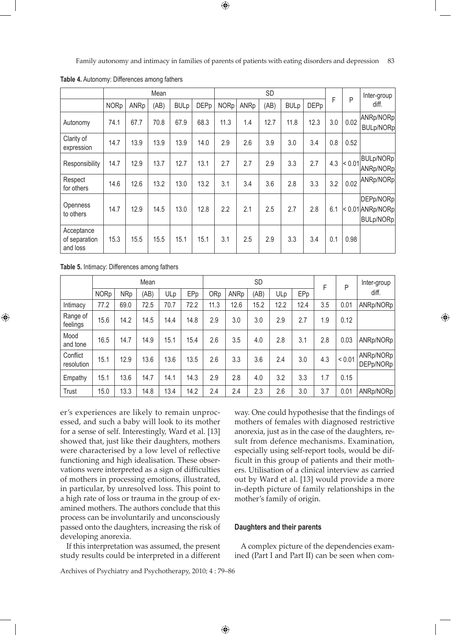Family autonomy and intimacy in families of parents of patients with eating disorders and depression 83

|                                         |             |      | Mean |             |             |             |      | SD   | F           | P           | Inter-group |            |                                              |
|-----------------------------------------|-------------|------|------|-------------|-------------|-------------|------|------|-------------|-------------|-------------|------------|----------------------------------------------|
|                                         | <b>NORp</b> | ANRp | (AB) | <b>BULp</b> | <b>DEPp</b> | <b>NORp</b> | ANRp | (AB) | <b>BULp</b> | <b>DEPp</b> |             |            | diff.                                        |
| Autonomy                                | 74.1        | 67.7 | 70.8 | 67.9        | 68.3        | 11.3        | 1.4  | 12.7 | 11.8        | 12.3        | 3.0         | 0.02       | ANRp/NORp<br><b>BULp/NORp</b>                |
| Clarity of<br>expression                | 14.7        | 13.9 | 13.9 | 13.9        | 14.0        | 2.9         | 2.6  | 3.9  | 3.0         | 3.4         | 0.8         | 0.52       |                                              |
| Responsibility                          | 14.7        | 12.9 | 13.7 | 12.7        | 13.1        | 2.7         | 2.7  | 2.9  | 3.3         | 2.7         | 4.3         | $ $ < 0.01 | BULp/NORp<br>ANRp/NORp                       |
| Respect<br>for others                   | 14.6        | 12.6 | 13.2 | 13.0        | 13.2        | 3.1         | 3.4  | 3.6  | 2.8         | 3.3         | 3.2         | 0.02       | ANRp/NORp                                    |
| Openness<br>to others                   | 14.7        | 12.9 | 14.5 | 13.0        | 12.8        | 2.2         | 2.1  | 2.5  | 2.7         | 2.8         | 6.1         |            | DEPp/NORp<br>$< 0.01$ ANRp/NORp<br>BULp/NORp |
| Acceptance<br>of separation<br>and loss | 15.3        | 15.5 | 15.5 | 15.1        | 15.1        | 3.1         | 2.5  | 2.9  | 3.3         | 3.4         | 0.1         | 0.98       |                                              |

**Table 4.** Autonomy: Differences among fathers

**Table 5.** Intimacy: Differences among fathers

⊕

|                        | Mean        |            |      |      |      |      |      | <b>SD</b> | F    | P    | Inter-group |        |                        |
|------------------------|-------------|------------|------|------|------|------|------|-----------|------|------|-------------|--------|------------------------|
|                        | <b>NORp</b> | <b>NRp</b> | (AB) | ULp  | EPp  | ORp  | ANRp | (AB)      | ULp  | EPp  |             |        | diff.                  |
| Intimacy               | 77.2        | 69.0       | 72.5 | 70.7 | 72.2 | 11.3 | 12.6 | 15.2      | 12.2 | 12.4 | 3.5         | 0.01   | ANRp/NORp              |
| Range of<br>feelings   | 15.6        | 14.2       | 14.5 | 14.4 | 14.8 | 2.9  | 3.0  | 3.0       | 2.9  | 2.7  | 1.9         | 0.12   |                        |
| Mood<br>and tone       | 16.5        | 14.7       | 14.9 | 15.1 | 15.4 | 2.6  | 3.5  | 4.0       | 2.8  | 3.1  | 2.8         | 0.03   | ANRp/NORp              |
| Conflict<br>resolution | 15.1        | 12.9       | 13.6 | 13.6 | 13.5 | 2.6  | 3.3  | 3.6       | 2.4  | 3.0  | 4.3         | < 0.01 | ANRp/NORp<br>DEPp/NORp |
| Empathy                | 15.1        | 13.6       | 14.7 | 14.1 | 14.3 | 2.9  | 2.8  | 4.0       | 3.2  | 3.3  | 1.7         | 0.15   |                        |
| <b>Trust</b>           | 15.0        | 13.3       | 14.8 | 13.4 | 14.2 | 2.4  | 2.4  | 2.3       | 2.6  | 3.0  | 3.7         | 0.01   | ANRp/NORp              |

er's experiences are likely to remain unprocessed, and such a baby will look to its mother for a sense of self. Interestingly, Ward et al. [13] showed that, just like their daughters, mothers were characterised by a low level of reflective functioning and high idealisation. These observations were interpreted as a sign of difficulties of mothers in processing emotions, illustrated, in particular, by unresolved loss. This point to a high rate of loss or trauma in the group of examined mothers. The authors conclude that this process can be involuntarily and unconsciously passed onto the daughters, increasing the risk of developing anorexia.

If this interpretation was assumed, the present study results could be interpreted in a different

way. One could hypothesise that the findings of mothers of females with diagnosed restrictive anorexia, just as in the case of the daughters, result from defence mechanisms. Examination, especially using self-report tools, would be difficult in this group of patients and their mothers. Utilisation of a clinical interview as carried out by Ward et al. [13] would provide a more in-depth picture of family relationships in the mother's family of origin.

⊕

#### **Daughters and their parents**

A complex picture of the dependencies examined (Part I and Part II) can be seen when com-

Archives of Psychiatry and Psychotherapy, 2010; 4 : 79–86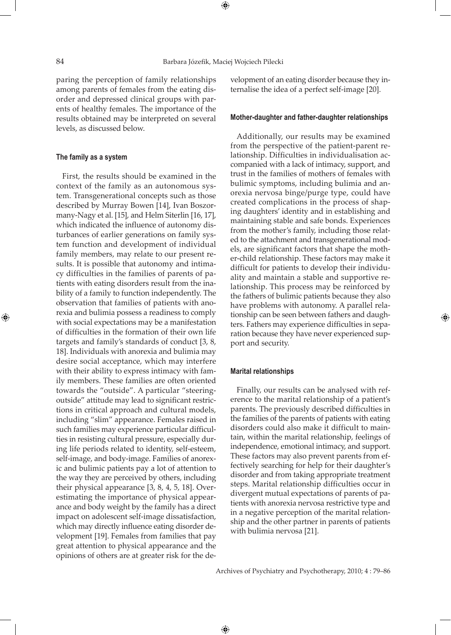paring the perception of family relationships among parents of females from the eating disorder and depressed clinical groups with parents of healthy females. The importance of the results obtained may be interpreted on several levels, as discussed below.

## **The family as a system**

First, the results should be examined in the context of the family as an autonomous system. Transgenerational concepts such as those described by Murray Bowen [14], Ivan Boszormany-Nagy et al. [15], and Helm Siterlin [16, 17], which indicated the influence of autonomy disturbances of earlier generations on family system function and development of individual family members, may relate to our present results. It is possible that autonomy and intimacy difficulties in the families of parents of patients with eating disorders result from the inability of a family to function independently. The observation that families of patients with anorexia and bulimia possess a readiness to comply with social expectations may be a manifestation of difficulties in the formation of their own life targets and family's standards of conduct [3, 8, 18]. Individuals with anorexia and bulimia may desire social acceptance, which may interfere with their ability to express intimacy with family members. These families are often oriented towards the "outside". A particular "steeringoutside" attitude may lead to significant restrictions in critical approach and cultural models, including "slim" appearance. Females raised in such families may experience particular difficulties in resisting cultural pressure, especially during life periods related to identity, self-esteem, self-image, and body-image. Families of anorexic and bulimic patients pay a lot of attention to the way they are perceived by others, including their physical appearance [3, 8, 4, 5, 18]. Overestimating the importance of physical appearance and body weight by the family has a direct impact on adolescent self-image dissatisfaction, which may directly influence eating disorder development [19]. Females from families that pay great attention to physical appearance and the opinions of others are at greater risk for the development of an eating disorder because they internalise the idea of a perfect self-image [20].

#### **Mother-daughter and father-daughter relationships**

Additionally, our results may be examined from the perspective of the patient-parent relationship. Difficulties in individualisation accompanied with a lack of intimacy, support, and trust in the families of mothers of females with bulimic symptoms, including bulimia and anorexia nervosa binge/purge type, could have created complications in the process of shaping daughters' identity and in establishing and maintaining stable and safe bonds. Experiences from the mother's family, including those related to the attachment and transgenerational models, are significant factors that shape the mother-child relationship. These factors may make it difficult for patients to develop their individuality and maintain a stable and supportive relationship. This process may be reinforced by the fathers of bulimic patients because they also have problems with autonomy. A parallel relationship can be seen between fathers and daughters. Fathers may experience difficulties in separation because they have never experienced support and security.

#### **Marital relationships**

Finally, our results can be analysed with reference to the marital relationship of a patient's parents. The previously described difficulties in the families of the parents of patients with eating disorders could also make it difficult to maintain, within the marital relationship, feelings of independence, emotional intimacy, and support. These factors may also prevent parents from effectively searching for help for their daughter's disorder and from taking appropriate treatment steps. Marital relationship difficulties occur in divergent mutual expectations of parents of patients with anorexia nervosa restrictive type and in a negative perception of the marital relationship and the other partner in parents of patients with bulimia nervosa [21].

Archives of Psychiatry and Psychotherapy, 2010; 4 : 79–86

⊕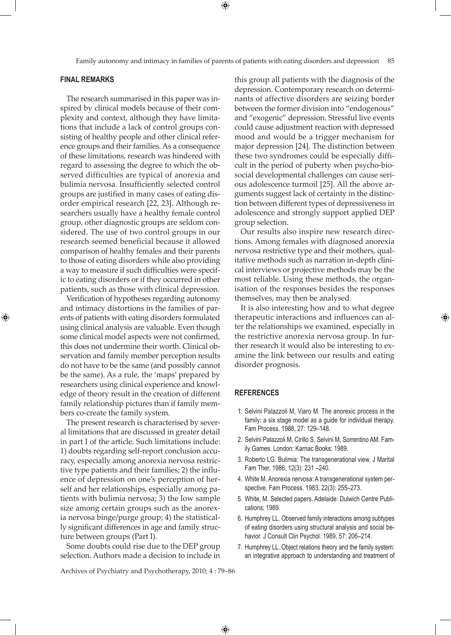Family autonomy and intimacy in families of parents of patients with eating disorders and depression 85

⊕

#### **Final remarks**

⊕

The research summarised in this paper was inspired by clinical models because of their complexity and context, although they have limitations that include a lack of control groups consisting of healthy people and other clinical reference groups and their families. As a consequence of these limitations, research was hindered with regard to assessing the degree to which the observed difficulties are typical of anorexia and bulimia nervosa. Insufficiently selected control groups are justified in many cases of eating disorder empirical research [22, 23]. Although researchers usually have a healthy female control group, other diagnostic groups are seldom considered. The use of two control groups in our research seemed beneficial because it allowed comparison of healthy females and their parents to those of eating disorders while also providing a way to measure if such difficulties were specific to eating disorders or if they occurred in other patients, such as those with clinical depression.

Verification of hypotheses regarding autonomy and intimacy distortions in the families of parents of patients with eating disorders formulated using clinical analysis are valuable. Even though some clinical model aspects were not confirmed, this does not undermine their worth. Clinical observation and family member perception results do not have to be the same (and possibly cannot be the same). As a rule, the 'maps' prepared by researchers using clinical experience and knowledge of theory result in the creation of different family relationship pictures than if family members co-create the family system.

The present research is characterised by several limitations that are discussed in greater detail in part I of the article. Such limitations include: 1) doubts regarding self-report conclusion accuracy, especially among anorexia nervosa restrictive type patients and their families; 2) the influence of depression on one's perception of herself and her relationships, especially among patients with bulimia nervosa; 3) the low sample size among certain groups such as the anorexia nervosa binge/purge group; 4) the statistically significant differences in age and family structure between groups (Part I).

Some doubts could rise due to the DEP group selection. Authors made a decision to include in this group all patients with the diagnosis of the depression. Contemporary research on determinants of affective disorders are seizing border between the former division into "endogenous" and "exogenic" depression. Stressful live events could cause adjustment reaction with depressed mood and would be a trigger mechanism for major depression [24]. The distinction between these two syndromes could be especially difficult in the period of puberty when psycho-biosocial developmental challenges can cause serious adolescence turmoil [25]. All the above arguments suggest lack of certainty in the distinction between different types of depressiveness in adolescence and strongly support applied DEP group selection.

Our results also inspire new research directions. Among females with diagnosed anorexia nervosa restrictive type and their mothers, qualitative methods such as narration in-depth clinical interviews or projective methods may be the most reliable. Using these methods, the organisation of the responses besides the responses themselves, may then be analysed.

It is also interesting how and to what degree therapeutic interactions and influences can alter the relationships we examined, especially in the restrictive anorexia nervosa group. In further research it would also be interesting to examine the link between our results and eating disorder prognosis.

#### **REFERENCES**

 $\bigoplus$ 

- 1. Selvini Palazzoli M, Viaro M. The anorexic process in the family: a six stage model as a guide for individual therapy. Fam Process. 1988, 27: 129–148.
- 2. Selvini Palazzoli M, Cirillo S, Selvini M, Sorrentino AM. Family Games. London: Karnac Books; 1989.
- 3. Roberto LG. Bulimia: The transgenerational view. J Marital Fam Ther. 1986, 12(3): 231 –240.
- 4. White M. Anorexia nervosa: A transgenerational system perspective. Fam Process. 1983, 22(3): 255–273.
- 5. White, M. Selected papers. Adelaide: Dulwich Centre Publications; 1989.
- 6. Humphrey LL. Observed family interactions among subtypes of eating disorders using structural analysis and social behavior. J Consult Clin Psychol. 1989, 57: 206–214.
- 7. Humphrey LL. Object relations theory and the family system: an integrative approach to understanding and treatment of

Archives of Psychiatry and Psychotherapy, 2010; 4 : 79–86